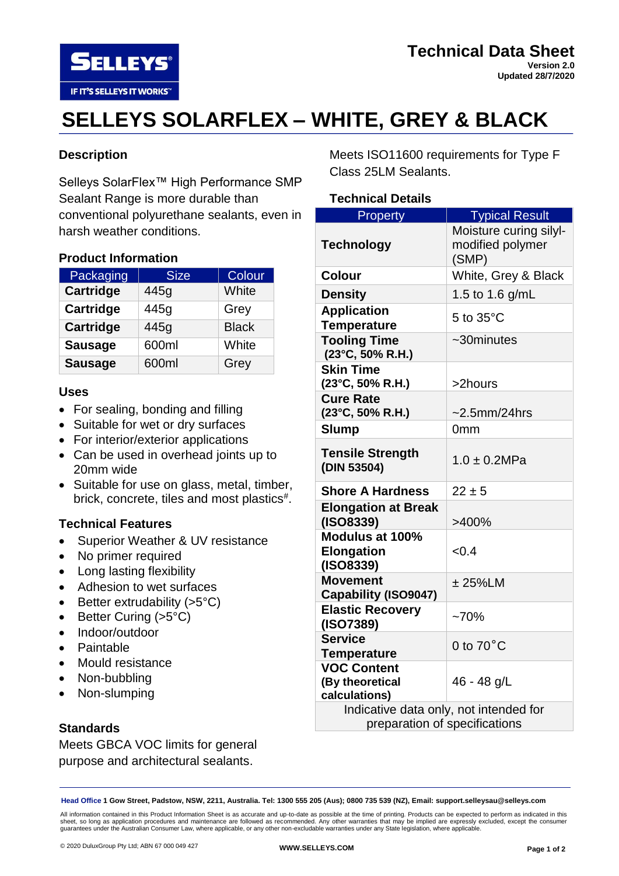**SELLEYS®** IF IT'S SELLEYS IT WORKS"

# **SELLEYS SOLARFLEX – WHITE, GREY & BLACK**

## **Description**

Selleys SolarFlex™ High Performance SMP Sealant Range is more durable than conventional polyurethane sealants, even in harsh weather conditions.

#### **Product Information**

| Packaging        | <b>Size</b> | Colour       |
|------------------|-------------|--------------|
| <b>Cartridge</b> | 445g        | White        |
| <b>Cartridge</b> | 445g        | Grey         |
| <b>Cartridge</b> | 445g        | <b>Black</b> |
| <b>Sausage</b>   | 600ml       | White        |
| <b>Sausage</b>   | 600ml       | Grey         |

#### **Uses**

- For sealing, bonding and filling
- Suitable for wet or dry surfaces
- For interior/exterior applications
- Can be used in overhead joints up to 20mm wide
- Suitable for use on glass, metal, timber, brick, concrete, tiles and most plastics#.

## **Technical Features**

- Superior Weather & UV resistance
- No primer required
- Long lasting flexibility
- Adhesion to wet surfaces
- Better extrudability  $(>5°C)$
- Better Curing (>5°C)
- Indoor/outdoor
- Paintable
- Mould resistance
- Non-bubbling
- Non-slumping

## **Standards**

Meets GBCA VOC limits for general purpose and architectural sealants.

Meets ISO11600 requirements for Type F Class 25LM Sealants.

#### **Technical Details**

| Property                               | <b>Typical Result</b>  |  |
|----------------------------------------|------------------------|--|
|                                        | Moisture curing silyl- |  |
| <b>Technology</b>                      | modified polymer       |  |
|                                        | (SMP)                  |  |
| Colour                                 | White, Grey & Black    |  |
| <b>Density</b>                         | 1.5 to 1.6 $g/mL$      |  |
| <b>Application</b>                     | 5 to 35°C              |  |
| <b>Temperature</b>                     |                        |  |
| <b>Tooling Time</b>                    | $\sim$ 30minutes       |  |
| (23°C, 50% R.H.)                       |                        |  |
| <b>Skin Time</b>                       |                        |  |
| (23°C, 50% R.H.)                       | >2hours                |  |
| <b>Cure Rate</b>                       |                        |  |
| (23°C, 50% R.H.)                       | $\sim$ 2.5mm/24hrs     |  |
| <b>Slump</b>                           | 0 <sub>mm</sub>        |  |
| <b>Tensile Strength</b>                |                        |  |
| (DIN 53504)                            | $1.0 \pm 0.2 MPa$      |  |
|                                        |                        |  |
| <b>Shore A Hardness</b>                | $22 \pm 5$             |  |
| <b>Elongation at Break</b>             |                        |  |
| (ISO8339)                              | >400%                  |  |
| Modulus at 100%                        |                        |  |
| <b>Elongation</b>                      | < 0.4                  |  |
| (ISO8339)                              |                        |  |
| <b>Movement</b>                        | $± 25\%$ LM            |  |
| Capability (ISO9047)                   |                        |  |
| <b>Elastic Recovery</b>                | $-70%$                 |  |
| (ISO7389)                              |                        |  |
| <b>Service</b>                         | 0 to $70^{\circ}$ C    |  |
| <b>Temperature</b>                     |                        |  |
| <b>VOC Content</b>                     |                        |  |
| (By theoretical                        | 46 - 48 g/L            |  |
| calculations)                          |                        |  |
| Indicative data only, not intended for |                        |  |
| preparation of specifications          |                        |  |

**Head Office 1 Gow Street, Padstow, NSW, 2211, Australia. Tel: 1300 555 205 (Aus); 0800 735 539 (NZ), Email: support.selleysau@selleys.com**

All information contained in this Product Information Sheet is as accurate and up-to-date as possible at the time of printing. Products can be expected to perform as indicated in this<br>sheet, so long as application procedur guarantees under the Australian Consumer Law, where applicable, or any other non-excludable warranties under any State legislation, where applicable.